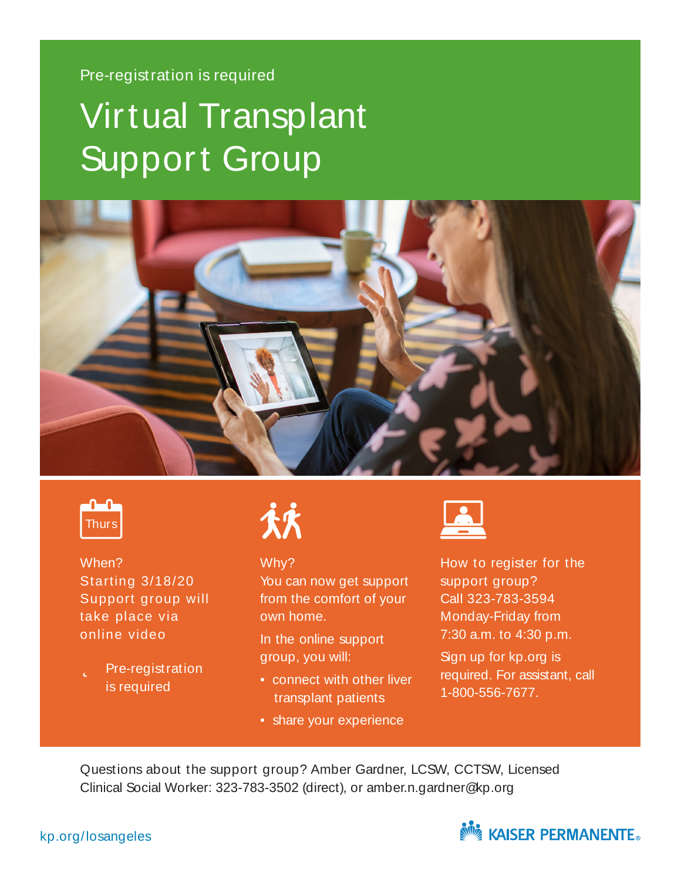#### Pre-registration is required

# Virtual Transplant Support Group





When? Starting 3/18/20 Support group will take place via online video

 $\Box$  Pre-registration is required



#### Why?

You can now get support from the comfort of your own home.

In the online support group, you will:

- connect with other liver transplant patients
- share your experience



How to register for the support group? Call 323-783-3594 Monday-Friday from 7:30 a.m. to 4:30 p.m.

Sign up for kp.org is required. For assistant, call 1-800-556-7677.

Questions about the support group? Amber Gardner, LCSW, CCTSW, Licensed Clinical Social Worker: 323-783-3502 (direct), or amber.n.gardner@kp.org